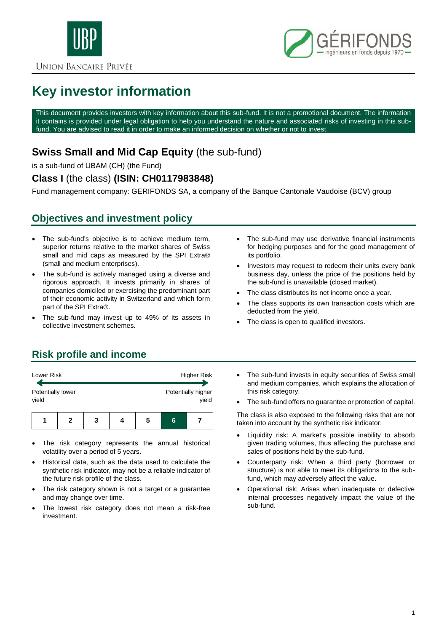

**UNION BANCAIRE PRIVÉE** 



# **Key investor information**

This document provides investors with key information about this sub-fund. It is not a promotional document. The information it contains is provided under legal obligation to help you understand the nature and associated risks of investing in this subfund. You are advised to read it in order to make an informed decision on whether or not to invest.

# **Swiss Small and Mid Cap Equity** (the sub-fund)

is a sub-fund of UBAM (CH) (the Fund)

#### **Class I** (the class) **(ISIN: CH0117983848)**

Fund management company: GERIFONDS SA, a company of the Banque Cantonale Vaudoise (BCV) group

## **Objectives and investment policy**

- The sub-fund's objective is to achieve medium term, superior returns relative to the market shares of Swiss small and mid caps as measured by the SPI Extra® (small and medium enterprises).
- The sub-fund is actively managed using a diverse and rigorous approach. It invests primarily in shares of companies domiciled or exercising the predominant part of their economic activity in Switzerland and which form part of the SPI Extra®.
- The sub-fund may invest up to 49% of its assets in collective investment schemes.
- The sub-fund may use derivative financial instruments for hedging purposes and for the good management of its portfolio.
- Investors may request to redeem their units every bank business day, unless the price of the positions held by the sub-fund is unavailable (closed market).
- The class distributes its net income once a year.
- The class supports its own transaction costs which are deducted from the yield.
- The class is open to qualified investors.

# **Risk profile and income**

| Lower Risk                 |  |   | Higher Risk                 |   |  |
|----------------------------|--|---|-----------------------------|---|--|
| Potentially lower<br>yield |  |   | Potentially higher<br>yield |   |  |
|                            |  | 3 | 5                           | 6 |  |

- The risk category represents the annual historical volatility over a period of 5 years.
- Historical data, such as the data used to calculate the synthetic risk indicator, may not be a reliable indicator of the future risk profile of the class.
- The risk category shown is not a target or a guarantee and may change over time.
- The lowest risk category does not mean a risk-free investment.
- The sub-fund invests in equity securities of Swiss small and medium companies, which explains the allocation of this risk category.
- The sub-fund offers no guarantee or protection of capital.

The class is also exposed to the following risks that are not taken into account by the synthetic risk indicator:

- Liquidity risk: A market's possible inability to absorb given trading volumes, thus affecting the purchase and sales of positions held by the sub-fund.
- Counterparty risk: When a third party (borrower or structure) is not able to meet its obligations to the subfund, which may adversely affect the value.
- Operational risk: Arises when inadequate or defective internal processes negatively impact the value of the sub-fund.